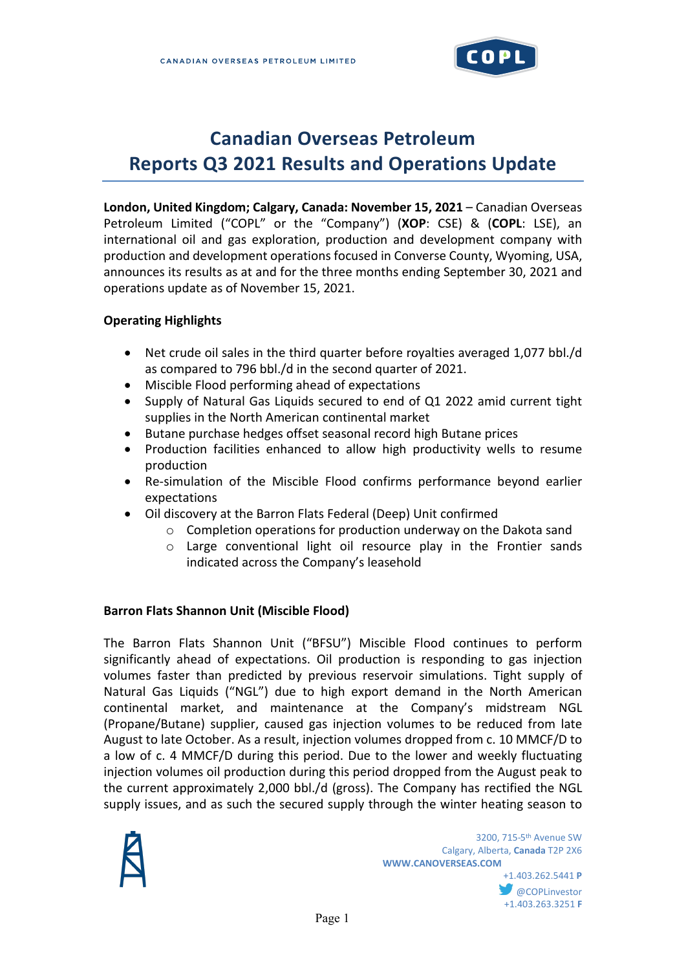

# **Canadian Overseas Petroleum Reports Q3 2021 Results and Operations Update**

**London, United Kingdom; Calgary, Canada: November 15, 2021** – Canadian Overseas Petroleum Limited ("COPL" or the "Company") (**XOP**: CSE) & (**COPL**: LSE), an international oil and gas exploration, production and development company with production and development operations focused in Converse County, Wyoming, USA, announces its results as at and for the three months ending September 30, 2021 and operations update as of November 15, 2021.

#### **Operating Highlights**

- Net crude oil sales in the third quarter before royalties averaged 1,077 bbl./d as compared to 796 bbl./d in the second quarter of 2021.
- Miscible Flood performing ahead of expectations
- Supply of Natural Gas Liquids secured to end of Q1 2022 amid current tight supplies in the North American continental market
- Butane purchase hedges offset seasonal record high Butane prices
- Production facilities enhanced to allow high productivity wells to resume production
- Re-simulation of the Miscible Flood confirms performance beyond earlier expectations
- Oil discovery at the Barron Flats Federal (Deep) Unit confirmed
	- o Completion operations for production underway on the Dakota sand
	- $\circ$  Large conventional light oil resource play in the Frontier sands indicated across the Company's leasehold

#### **Barron Flats Shannon Unit (Miscible Flood)**

The Barron Flats Shannon Unit ("BFSU") Miscible Flood continues to perform significantly ahead of expectations. Oil production is responding to gas injection volumes faster than predicted by previous reservoir simulations. Tight supply of Natural Gas Liquids ("NGL") due to high export demand in the North American continental market, and maintenance at the Company's midstream NGL (Propane/Butane) supplier, caused gas injection volumes to be reduced from late August to late October. As a result, injection volumes dropped from c. 10 MMCF/D to a low of c. 4 MMCF/D during this period. Due to the lower and weekly fluctuating injection volumes oil production during this period dropped from the August peak to the current approximately 2,000 bbl./d (gross). The Company has rectified the NGL supply issues, and as such the secured supply through the winter heating season to

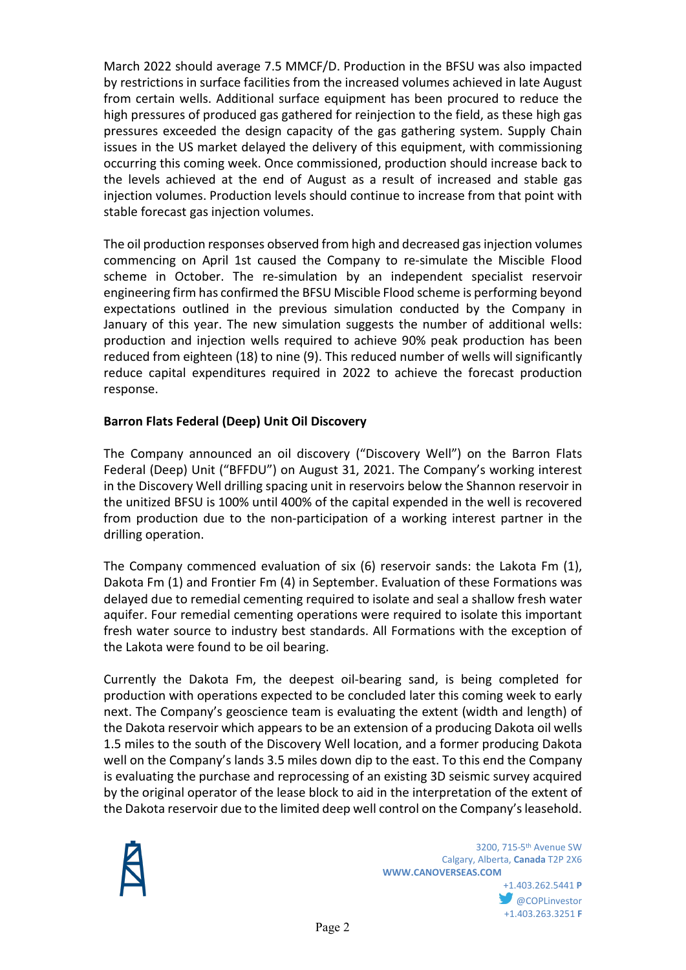March 2022 should average 7.5 MMCF/D. Production in the BFSU was also impacted by restrictions in surface facilities from the increased volumes achieved in late August from certain wells. Additional surface equipment has been procured to reduce the high pressures of produced gas gathered for reinjection to the field, as these high gas pressures exceeded the design capacity of the gas gathering system. Supply Chain issues in the US market delayed the delivery of this equipment, with commissioning occurring this coming week. Once commissioned, production should increase back to the levels achieved at the end of August as a result of increased and stable gas injection volumes. Production levels should continue to increase from that point with stable forecast gas injection volumes.

The oil production responses observed from high and decreased gas injection volumes commencing on April 1st caused the Company to re-simulate the Miscible Flood scheme in October. The re-simulation by an independent specialist reservoir engineering firm has confirmed the BFSU Miscible Flood scheme is performing beyond expectations outlined in the previous simulation conducted by the Company in January of this year. The new simulation suggests the number of additional wells: production and injection wells required to achieve 90% peak production has been reduced from eighteen (18) to nine (9). This reduced number of wells will significantly reduce capital expenditures required in 2022 to achieve the forecast production response.

# **Barron Flats Federal (Deep) Unit Oil Discovery**

The Company announced an oil discovery ("Discovery Well") on the Barron Flats Federal (Deep) Unit ("BFFDU") on August 31, 2021. The Company's working interest in the Discovery Well drilling spacing unit in reservoirs below the Shannon reservoir in the unitized BFSU is 100% until 400% of the capital expended in the well is recovered from production due to the non-participation of a working interest partner in the drilling operation.

The Company commenced evaluation of six (6) reservoir sands: the Lakota Fm (1), Dakota Fm (1) and Frontier Fm (4) in September. Evaluation of these Formations was delayed due to remedial cementing required to isolate and seal a shallow fresh water aquifer. Four remedial cementing operations were required to isolate this important fresh water source to industry best standards. All Formations with the exception of the Lakota were found to be oil bearing.

Currently the Dakota Fm, the deepest oil-bearing sand, is being completed for production with operations expected to be concluded later this coming week to early next. The Company's geoscience team is evaluating the extent (width and length) of the Dakota reservoir which appears to be an extension of a producing Dakota oil wells 1.5 miles to the south of the Discovery Well location, and a former producing Dakota well on the Company's lands 3.5 miles down dip to the east. To this end the Company is evaluating the purchase and reprocessing of an existing 3D seismic survey acquired by the original operator of the lease block to aid in the interpretation of the extent of the Dakota reservoir due to the limited deep well control on the Company's leasehold.



+1.403.262.5441 **P COPLinvestor** +1.403.263.3251 **F**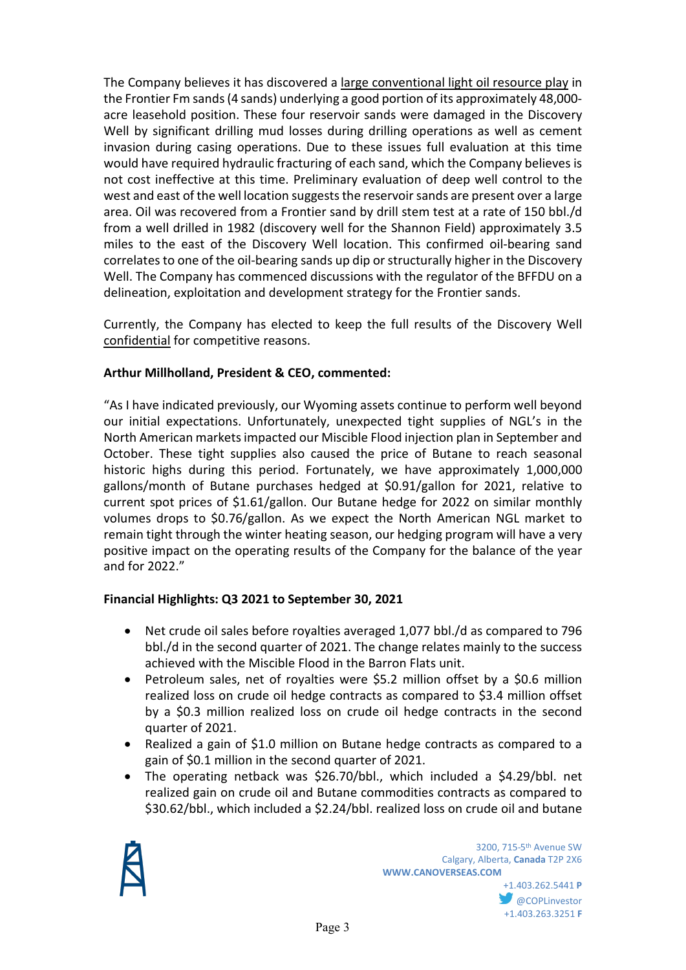The Company believes it has discovered a large conventional light oil resource play in the Frontier Fm sands (4 sands) underlying a good portion of its approximately 48,000 acre leasehold position. These four reservoir sands were damaged in the Discovery Well by significant drilling mud losses during drilling operations as well as cement invasion during casing operations. Due to these issues full evaluation at this time would have required hydraulic fracturing of each sand, which the Company believes is not cost ineffective at this time. Preliminary evaluation of deep well control to the west and east of the well location suggests the reservoir sands are present over a large area. Oil was recovered from a Frontier sand by drill stem test at a rate of 150 bbl./d from a well drilled in 1982 (discovery well for the Shannon Field) approximately 3.5 miles to the east of the Discovery Well location. This confirmed oil-bearing sand correlates to one of the oil-bearing sands up dip or structurally higher in the Discovery Well. The Company has commenced discussions with the regulator of the BFFDU on a delineation, exploitation and development strategy for the Frontier sands.

Currently, the Company has elected to keep the full results of the Discovery Well confidential for competitive reasons.

## **Arthur Millholland, President & CEO, commented:**

"As I have indicated previously, our Wyoming assets continue to perform well beyond our initial expectations. Unfortunately, unexpected tight supplies of NGL's in the North American markets impacted our Miscible Flood injection plan in September and October. These tight supplies also caused the price of Butane to reach seasonal historic highs during this period. Fortunately, we have approximately 1,000,000 gallons/month of Butane purchases hedged at \$0.91/gallon for 2021, relative to current spot prices of \$1.61/gallon. Our Butane hedge for 2022 on similar monthly volumes drops to \$0.76/gallon. As we expect the North American NGL market to remain tight through the winter heating season, our hedging program will have a very positive impact on the operating results of the Company for the balance of the year and for 2022."

## **Financial Highlights: Q3 2021 to September 30, 2021**

- Net crude oil sales before royalties averaged 1,077 bbl./d as compared to 796 bbl./d in the second quarter of 2021. The change relates mainly to the success achieved with the Miscible Flood in the Barron Flats unit.
- Petroleum sales, net of royalties were \$5.2 million offset by a \$0.6 million realized loss on crude oil hedge contracts as compared to \$3.4 million offset by a \$0.3 million realized loss on crude oil hedge contracts in the second quarter of 2021.
- Realized a gain of \$1.0 million on Butane hedge contracts as compared to a gain of \$0.1 million in the second quarter of 2021.
- The operating netback was \$26.70/bbl., which included a \$4.29/bbl. net realized gain on crude oil and Butane commodities contracts as compared to \$30.62/bbl., which included a \$2.24/bbl. realized loss on crude oil and butane

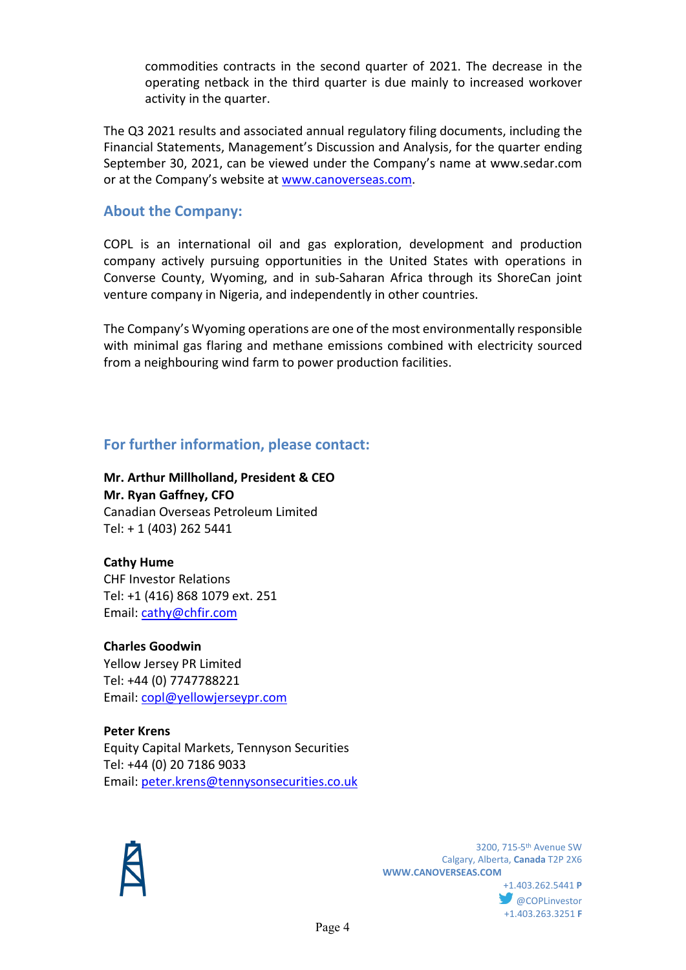commodities contracts in the second quarter of 2021. The decrease in the operating netback in the third quarter is due mainly to increased workover activity in the quarter.

The Q3 2021 results and associated annual regulatory filing documents, including the Financial Statements, Management's Discussion and Analysis, for the quarter ending September 30, 2021, can be viewed under the Company's name at www.sedar.com or at the Company's website at [www.canoverseas.com.](http://www.canoverseas.com/)

## **About the Company:**

COPL is an international oil and gas exploration, development and production company actively pursuing opportunities in the United States with operations in Converse County, Wyoming, and in sub-Saharan Africa through its ShoreCan joint venture company in Nigeria, and independently in other countries.

The Company's Wyoming operations are one of the most environmentally responsible with minimal gas flaring and methane emissions combined with electricity sourced from a neighbouring wind farm to power production facilities.

# **For further information, please contact:**

**Mr. Arthur Millholland, President & CEO Mr. Ryan Gaffney, CFO** Canadian Overseas Petroleum Limited Tel: + 1 (403) 262 5441

#### **Cathy Hume** CHF Investor Relations Tel: +1 (416) 868 1079 ext. 251

Email: [cathy@chfir.com](mailto:cathy@chfir.com)

# **Charles Goodwin**

Yellow Jersey PR Limited Tel: +44 (0) 7747788221 Email: [copl@yellowjerseypr.com](mailto:copl@yellowjerseypr.com)

**Peter Krens** Equity Capital Markets, Tennyson Securities Tel: +44 (0) 20 7186 9033 Email: [peter.krens@tennysonsecurities.co.uk](mailto:peter.krens@tennysonsecurities.co.uk)



 3200, 715-5th Avenue SW Calgary, Alberta, **Canada** T2P 2X6 **WWW.CANOVERSEAS.COM** +1.403.262.5441 **P**

**OCOPLinvestor** +1.403.263.3251 **F**